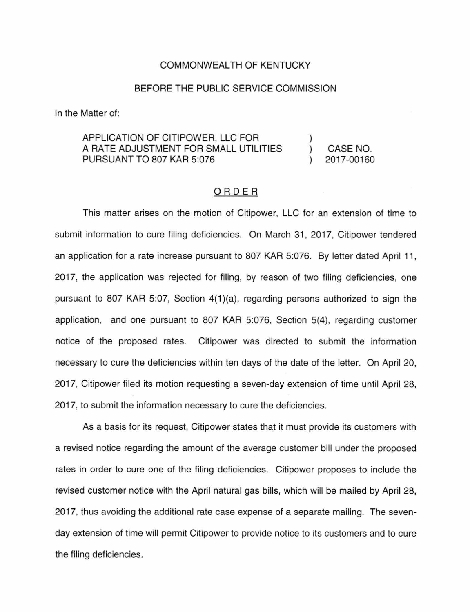## COMMONWEALTH OF KENTUCKY

## BEFORE THE PUBLIC SERVICE COMMISSION

In the Matter of:

## APPLICATION OF CITIPOWER, LLC FOR A RATE ADJUSTMENT FOR SMALL UTILITIES PURSUANT TO 807 KAR 5:076

CASE NO. 2017-00160

 $\mathcal{E}$ 

## ORDER

This matter arises on the motion of Citipower, LLC for an extension of time to submit information to cure filing deficiencies. On March 31, 2017, Citipower tendered an application for a rate increase pursuant to 807 KAR 5:076. By letter dated April 11, 2017, the application was rejected for filing, by reason of two filing deficiencies, one pursuant to 807 KAR 5:07, Section 4(1 )(a), regarding persons authorized to sign the application, and one pursuant to 807 KAR 5:076, Section 5(4), regarding customer notice of the proposed rates. Citipower was directed to submit the information necessary to cure the deficiencies within ten days of the date of the letter. On April 20, 2017, Citipower filed its motion requesting a seven-day extension of time until April 28, 2017, to submit the information necessary to cure the deficiencies.

As a basis for its request, Citipower states that it must provide its customers with a revised notice regarding the amount of the average customer bill under the proposed rates in order to cure one of the filing deficiencies. Citipower proposes to include the revised customer notice with the April natural gas bills, which will be mailed by April 28, 2017, thus avoiding the additional rate case expense of a separate mailing. The sevenday extension of time will permit Citipower to provide notice to its customers and to cure the filing deficiencies.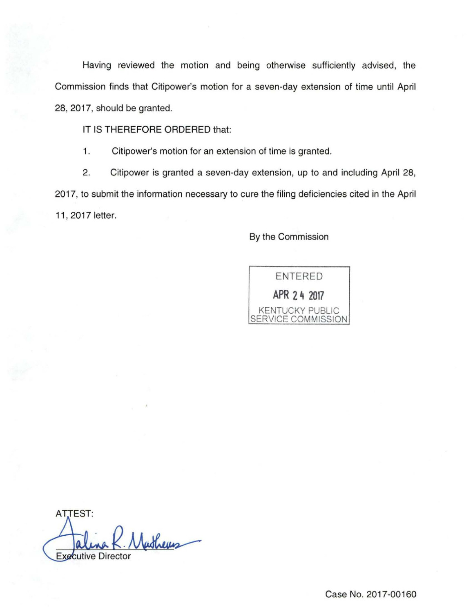Having reviewed the motion and being otherwise sufficiently advised, the Commission finds that Citipower's motion for a seven-day extension of time until April 28, 2017, should be granted.

IT IS THEREFORE ORDERED that:

1. Citipower's motion for an extension of time is granted.

2. Citipower is granted a seven-day extension, up to and including April 28, 2017, to submit the information necessary to cure the filing deficiencies cited in the April 11 , 2017 letter.

By the Commission



AT.TEST: Nathers **Executive Director** 

Case No. 2017-00160